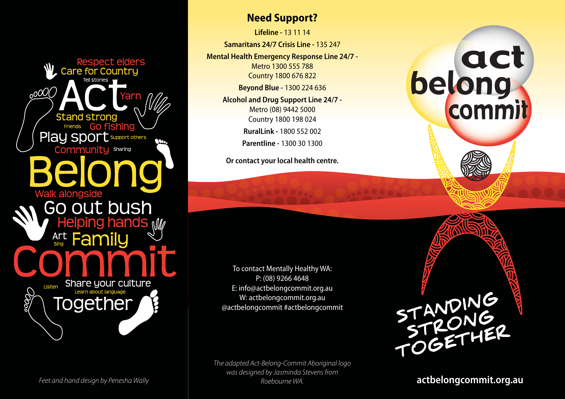**Respect elders Care for Countru**  $0000$ **Stand strong** Go fishing **Friends** Play sport support others Community Sharing **Walk alongside** Go out bush Helping hands *W* Family Art Share your culture Listen Together

#### **Need Support?**

**Lifeline -** 13 11 14

**Samaritans 24/7 Crisis Line -** 135 247

**Mental Health Emergency Response Line 24/7 -** Metro 1300 555 788 Country 1800 676 822

**Beyond Blue -** 1300 224 636

**Alcohol and Drug Support Line 24/7 -** Metro (08) 9442 5000 Country 1800 198 024 **RuralLink -** 1800 552 002 **Parentline -** 1300 30 1300

**Or contact your local health centre.**

To contact Mentally Healthy WA: P: (08) 9266 4648 E: info@actbelongcommit.org.au W: actbelongcommit.org.au @actbelongcommit #actbelongcommit

*The adapted Act-Belong-Commit Aboriginal logo was designed by Jasminda Stevens from Roebourne WA.* Feet and hand design by Penesha Wally **actbelong commit.org.au**<br>Roebourne WA. **actbelongcommit.org.au** 

# belong commit